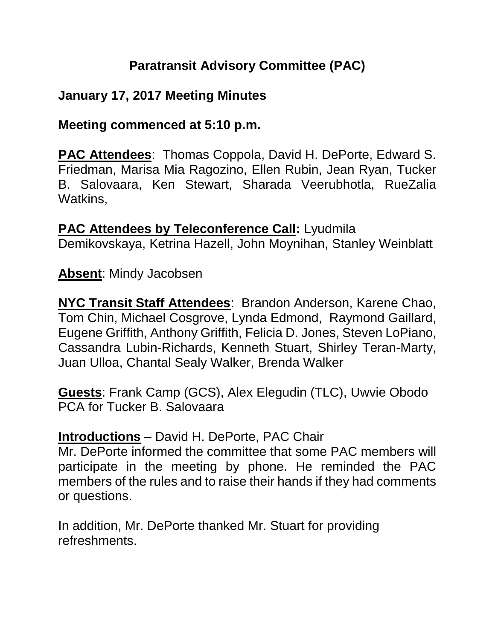# **Paratransit Advisory Committee (PAC)**

## **January 17, 2017 Meeting Minutes**

#### **Meeting commenced at 5:10 p.m.**

**PAC Attendees**: Thomas Coppola, David H. DePorte, Edward S. Friedman, Marisa Mia Ragozino, Ellen Rubin, Jean Ryan, Tucker B. Salovaara, Ken Stewart, Sharada Veerubhotla, RueZalia Watkins,

**PAC Attendees by Teleconference Call:** Lyudmila Demikovskaya, Ketrina Hazell, John Moynihan, Stanley Weinblatt

**Absent**: Mindy Jacobsen

**NYC Transit Staff Attendees**: Brandon Anderson, Karene Chao, Tom Chin, Michael Cosgrove, Lynda Edmond, Raymond Gaillard, Eugene Griffith, Anthony Griffith, Felicia D. Jones, Steven LoPiano, Cassandra Lubin-Richards, Kenneth Stuart, Shirley Teran-Marty, Juan Ulloa, Chantal Sealy Walker, Brenda Walker

**Guests**: Frank Camp (GCS), Alex Elegudin (TLC), Uwvie Obodo PCA for Tucker B. Salovaara

#### **Introductions** – David H. DePorte, PAC Chair

Mr. DePorte informed the committee that some PAC members will participate in the meeting by phone. He reminded the PAC members of the rules and to raise their hands if they had comments or questions.

In addition, Mr. DePorte thanked Mr. Stuart for providing refreshments.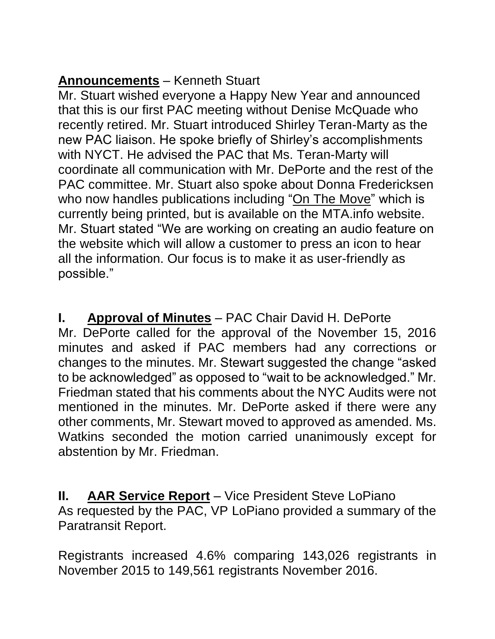# **Announcements** – Kenneth Stuart

Mr. Stuart wished everyone a Happy New Year and announced that this is our first PAC meeting without Denise McQuade who recently retired. Mr. Stuart introduced Shirley Teran-Marty as the new PAC liaison. He spoke briefly of Shirley's accomplishments with NYCT. He advised the PAC that Ms. Teran-Marty will coordinate all communication with Mr. DePorte and the rest of the PAC committee. Mr. Stuart also spoke about Donna Fredericksen who now handles publications including "On The Move" which is currently being printed, but is available on the MTA.info website. Mr. Stuart stated "We are working on creating an audio feature on the website which will allow a customer to press an icon to hear all the information. Our focus is to make it as user-friendly as possible."

**I. Approval of Minutes** – PAC Chair David H. DePorte Mr. DePorte called for the approval of the November 15, 2016 minutes and asked if PAC members had any corrections or changes to the minutes. Mr. Stewart suggested the change "asked to be acknowledged" as opposed to "wait to be acknowledged." Mr. Friedman stated that his comments about the NYC Audits were not mentioned in the minutes. Mr. DePorte asked if there were any other comments, Mr. Stewart moved to approved as amended. Ms. Watkins seconded the motion carried unanimously except for abstention by Mr. Friedman.

**II. AAR Service Report** – Vice President Steve LoPiano As requested by the PAC, VP LoPiano provided a summary of the Paratransit Report.

Registrants increased 4.6% comparing 143,026 registrants in November 2015 to 149,561 registrants November 2016.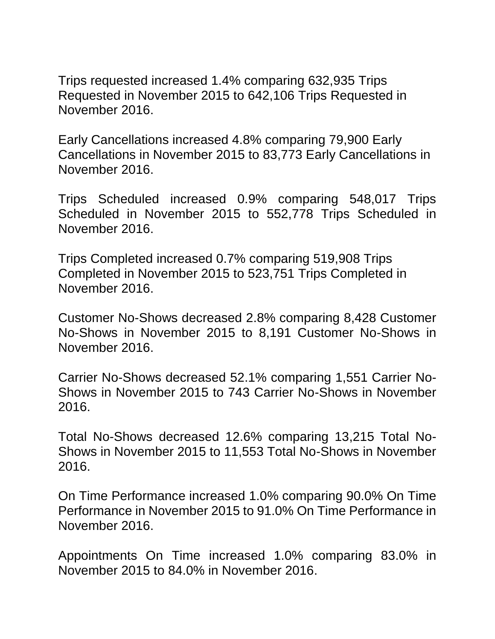Trips requested increased 1.4% comparing 632,935 Trips Requested in November 2015 to 642,106 Trips Requested in November 2016.

Early Cancellations increased 4.8% comparing 79,900 Early Cancellations in November 2015 to 83,773 Early Cancellations in November 2016.

Trips Scheduled increased 0.9% comparing 548,017 Trips Scheduled in November 2015 to 552,778 Trips Scheduled in November 2016.

Trips Completed increased 0.7% comparing 519,908 Trips Completed in November 2015 to 523,751 Trips Completed in November 2016.

Customer No-Shows decreased 2.8% comparing 8,428 Customer No-Shows in November 2015 to 8,191 Customer No-Shows in November 2016.

Carrier No-Shows decreased 52.1% comparing 1,551 Carrier No-Shows in November 2015 to 743 Carrier No-Shows in November 2016.

Total No-Shows decreased 12.6% comparing 13,215 Total No-Shows in November 2015 to 11,553 Total No-Shows in November 2016.

On Time Performance increased 1.0% comparing 90.0% On Time Performance in November 2015 to 91.0% On Time Performance in November 2016.

Appointments On Time increased 1.0% comparing 83.0% in November 2015 to 84.0% in November 2016.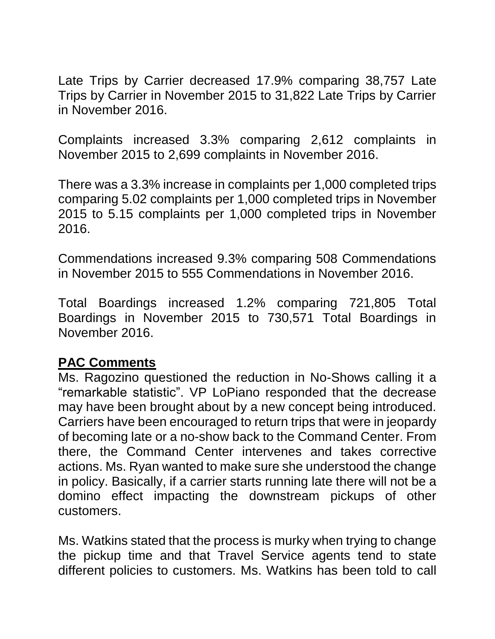Late Trips by Carrier decreased 17.9% comparing 38,757 Late Trips by Carrier in November 2015 to 31,822 Late Trips by Carrier in November 2016.

Complaints increased 3.3% comparing 2,612 complaints in November 2015 to 2,699 complaints in November 2016.

There was a 3.3% increase in complaints per 1,000 completed trips comparing 5.02 complaints per 1,000 completed trips in November 2015 to 5.15 complaints per 1,000 completed trips in November 2016.

Commendations increased 9.3% comparing 508 Commendations in November 2015 to 555 Commendations in November 2016.

Total Boardings increased 1.2% comparing 721,805 Total Boardings in November 2015 to 730,571 Total Boardings in November 2016.

## **PAC Comments**

Ms. Ragozino questioned the reduction in No-Shows calling it a "remarkable statistic". VP LoPiano responded that the decrease may have been brought about by a new concept being introduced. Carriers have been encouraged to return trips that were in jeopardy of becoming late or a no-show back to the Command Center. From there, the Command Center intervenes and takes corrective actions. Ms. Ryan wanted to make sure she understood the change in policy. Basically, if a carrier starts running late there will not be a domino effect impacting the downstream pickups of other customers.

Ms. Watkins stated that the process is murky when trying to change the pickup time and that Travel Service agents tend to state different policies to customers. Ms. Watkins has been told to call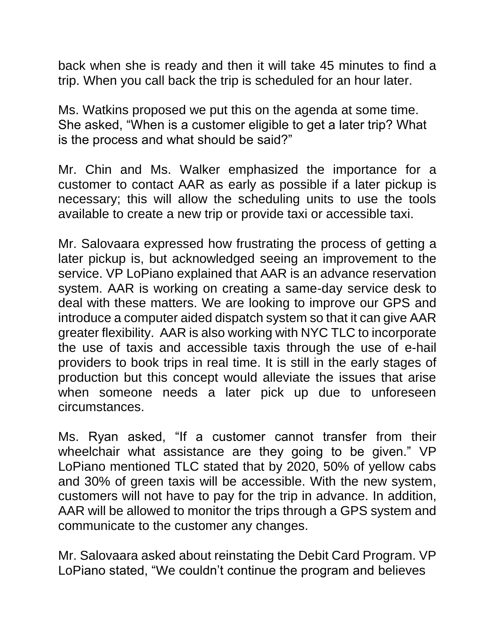back when she is ready and then it will take 45 minutes to find a trip. When you call back the trip is scheduled for an hour later.

Ms. Watkins proposed we put this on the agenda at some time. She asked, "When is a customer eligible to get a later trip? What is the process and what should be said?"

Mr. Chin and Ms. Walker emphasized the importance for a customer to contact AAR as early as possible if a later pickup is necessary; this will allow the scheduling units to use the tools available to create a new trip or provide taxi or accessible taxi.

Mr. Salovaara expressed how frustrating the process of getting a later pickup is, but acknowledged seeing an improvement to the service. VP LoPiano explained that AAR is an advance reservation system. AAR is working on creating a same-day service desk to deal with these matters. We are looking to improve our GPS and introduce a computer aided dispatch system so that it can give AAR greater flexibility. AAR is also working with NYC TLC to incorporate the use of taxis and accessible taxis through the use of e-hail providers to book trips in real time. It is still in the early stages of production but this concept would alleviate the issues that arise when someone needs a later pick up due to unforeseen circumstances.

Ms. Ryan asked, "If a customer cannot transfer from their wheelchair what assistance are they going to be given." VP LoPiano mentioned TLC stated that by 2020, 50% of yellow cabs and 30% of green taxis will be accessible. With the new system, customers will not have to pay for the trip in advance. In addition, AAR will be allowed to monitor the trips through a GPS system and communicate to the customer any changes.

Mr. Salovaara asked about reinstating the Debit Card Program. VP LoPiano stated, "We couldn't continue the program and believes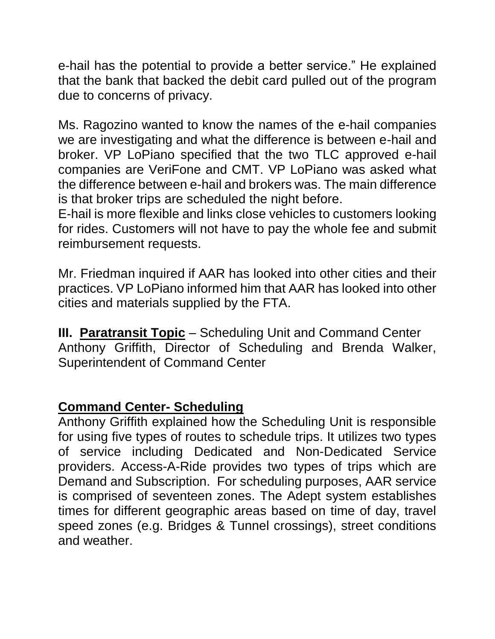e-hail has the potential to provide a better service." He explained that the bank that backed the debit card pulled out of the program due to concerns of privacy.

Ms. Ragozino wanted to know the names of the e-hail companies we are investigating and what the difference is between e-hail and broker. VP LoPiano specified that the two TLC approved e-hail companies are VeriFone and CMT. VP LoPiano was asked what the difference between e-hail and brokers was. The main difference is that broker trips are scheduled the night before.

E-hail is more flexible and links close vehicles to customers looking for rides. Customers will not have to pay the whole fee and submit reimbursement requests.

Mr. Friedman inquired if AAR has looked into other cities and their practices. VP LoPiano informed him that AAR has looked into other cities and materials supplied by the FTA.

**III. Paratransit Topic** – Scheduling Unit and Command Center Anthony Griffith, Director of Scheduling and Brenda Walker, Superintendent of Command Center

## **Command Center- Scheduling**

Anthony Griffith explained how the Scheduling Unit is responsible for using five types of routes to schedule trips. It utilizes two types of service including Dedicated and Non-Dedicated Service providers. Access-A-Ride provides two types of trips which are Demand and Subscription. For scheduling purposes, AAR service is comprised of seventeen zones. The Adept system establishes times for different geographic areas based on time of day, travel speed zones (e.g. Bridges & Tunnel crossings), street conditions and weather.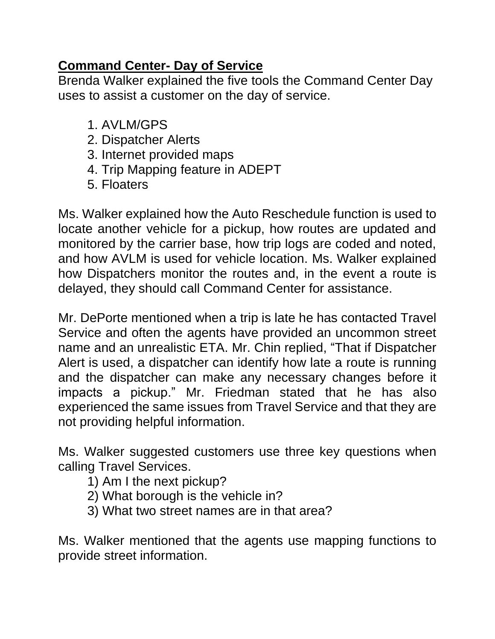## **Command Center- Day of Service**

Brenda Walker explained the five tools the Command Center Day uses to assist a customer on the day of service.

- 1. AVLM/GPS
- 2. Dispatcher Alerts
- 3. Internet provided maps
- 4. Trip Mapping feature in ADEPT
- 5. Floaters

Ms. Walker explained how the Auto Reschedule function is used to locate another vehicle for a pickup, how routes are updated and monitored by the carrier base, how trip logs are coded and noted, and how AVLM is used for vehicle location. Ms. Walker explained how Dispatchers monitor the routes and, in the event a route is delayed, they should call Command Center for assistance.

Mr. DePorte mentioned when a trip is late he has contacted Travel Service and often the agents have provided an uncommon street name and an unrealistic ETA. Mr. Chin replied, "That if Dispatcher Alert is used, a dispatcher can identify how late a route is running and the dispatcher can make any necessary changes before it impacts a pickup." Mr. Friedman stated that he has also experienced the same issues from Travel Service and that they are not providing helpful information.

Ms. Walker suggested customers use three key questions when calling Travel Services.

- 1) Am I the next pickup?
- 2) What borough is the vehicle in?
- 3) What two street names are in that area?

Ms. Walker mentioned that the agents use mapping functions to provide street information.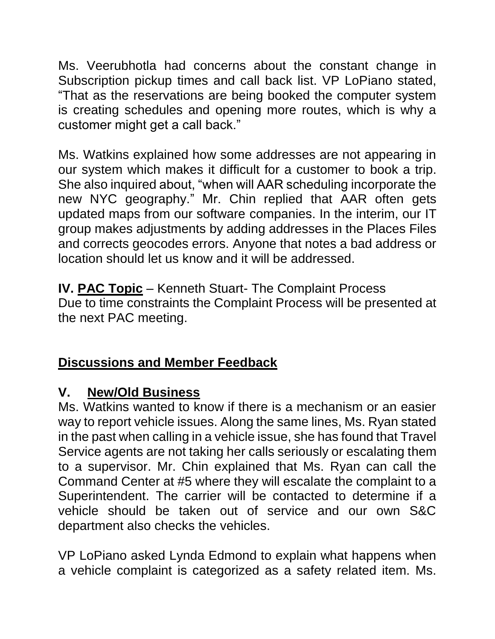Ms. Veerubhotla had concerns about the constant change in Subscription pickup times and call back list. VP LoPiano stated, "That as the reservations are being booked the computer system is creating schedules and opening more routes, which is why a customer might get a call back."

Ms. Watkins explained how some addresses are not appearing in our system which makes it difficult for a customer to book a trip. She also inquired about, "when will AAR scheduling incorporate the new NYC geography." Mr. Chin replied that AAR often gets updated maps from our software companies. In the interim, our IT group makes adjustments by adding addresses in the Places Files and corrects geocodes errors. Anyone that notes a bad address or location should let us know and it will be addressed.

**IV. PAC Topic** – Kenneth Stuart- The Complaint Process Due to time constraints the Complaint Process will be presented at the next PAC meeting.

# **Discussions and Member Feedback**

# **V. New/Old Business**

Ms. Watkins wanted to know if there is a mechanism or an easier way to report vehicle issues. Along the same lines, Ms. Ryan stated in the past when calling in a vehicle issue, she has found that Travel Service agents are not taking her calls seriously or escalating them to a supervisor. Mr. Chin explained that Ms. Ryan can call the Command Center at #5 where they will escalate the complaint to a Superintendent. The carrier will be contacted to determine if a vehicle should be taken out of service and our own S&C department also checks the vehicles.

VP LoPiano asked Lynda Edmond to explain what happens when a vehicle complaint is categorized as a safety related item. Ms.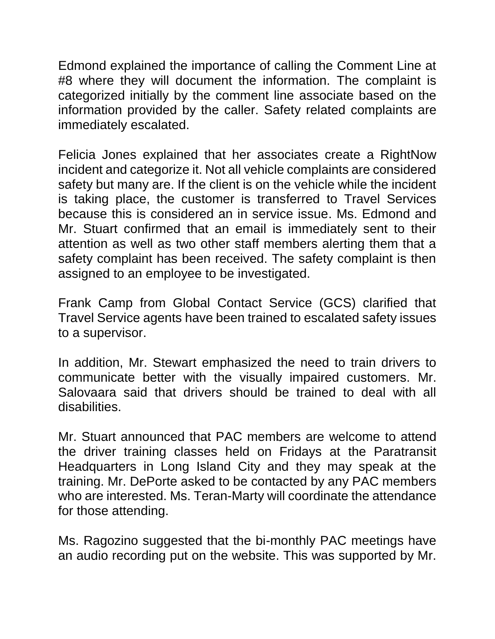Edmond explained the importance of calling the Comment Line at #8 where they will document the information. The complaint is categorized initially by the comment line associate based on the information provided by the caller. Safety related complaints are immediately escalated.

Felicia Jones explained that her associates create a RightNow incident and categorize it. Not all vehicle complaints are considered safety but many are. If the client is on the vehicle while the incident is taking place, the customer is transferred to Travel Services because this is considered an in service issue. Ms. Edmond and Mr. Stuart confirmed that an email is immediately sent to their attention as well as two other staff members alerting them that a safety complaint has been received. The safety complaint is then assigned to an employee to be investigated.

Frank Camp from Global Contact Service (GCS) clarified that Travel Service agents have been trained to escalated safety issues to a supervisor.

In addition, Mr. Stewart emphasized the need to train drivers to communicate better with the visually impaired customers. Mr. Salovaara said that drivers should be trained to deal with all disabilities.

Mr. Stuart announced that PAC members are welcome to attend the driver training classes held on Fridays at the Paratransit Headquarters in Long Island City and they may speak at the training. Mr. DePorte asked to be contacted by any PAC members who are interested. Ms. Teran-Marty will coordinate the attendance for those attending.

Ms. Ragozino suggested that the bi-monthly PAC meetings have an audio recording put on the website. This was supported by Mr.